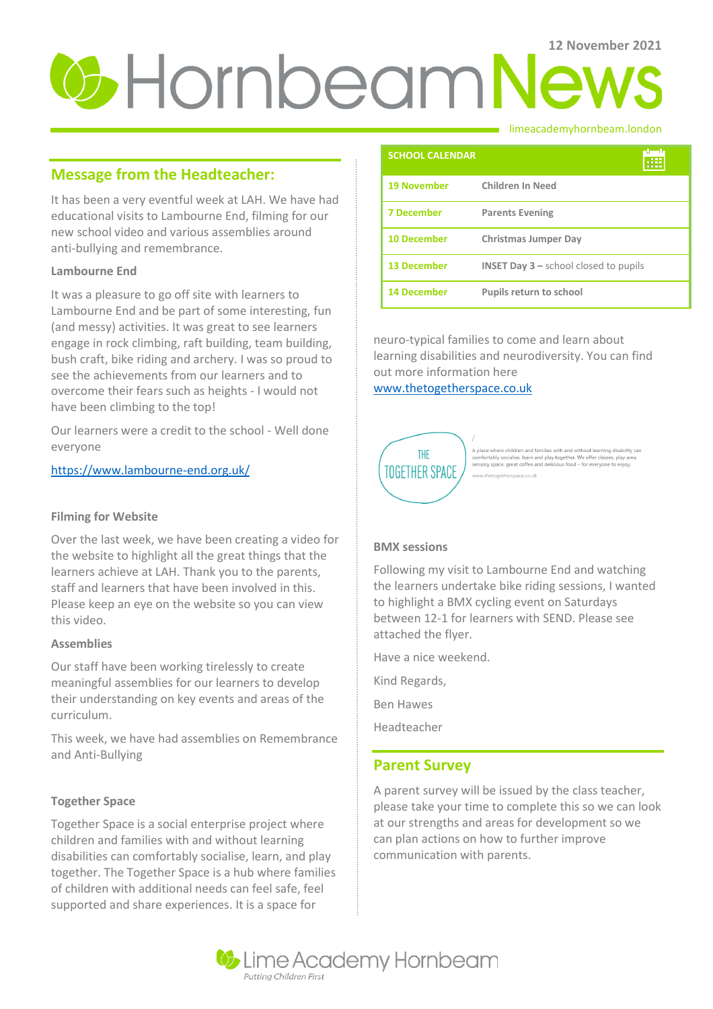# **U** Hornbeam News

# **Message from the Headteacher:**

It has been a very eventful week at LAH. We have had educational visits to Lambourne End, filming for our new school video and various assemblies around anti-bullying and remembrance.

## **Lambourne End**

It was a pleasure to go off site with learners to Lambourne End and be part of some interesting, fun (and messy) activities. It was great to see learners engage in rock climbing, raft building, team building, bush craft, bike riding and archery. I was so proud to see the achievements from our learners and to overcome their fears such as heights - I would not have been climbing to the top!

Our learners were a credit to the school - Well done everyone

## <https://www.lambourne-end.org.uk/>

## **Filming for Website**

Over the last week, we have been creating a video for the website to highlight all the great things that the learners achieve at LAH. Thank you to the parents, staff and learners that have been involved in this. Please keep an eye on the website so you can view this video.

## **Assemblies**

Our staff have been working tirelessly to create meaningful assemblies for our learners to develop their understanding on key events and areas of the curriculum.

This week, we have had assemblies on Remembrance and Anti-Bullying

## **Together Space**

Together Space is a social enterprise project where children and families with and without learning disabilities can comfortably socialise, learn, and play together. The Together Space is a hub where families of children with additional needs can feel safe, feel supported and share experiences. It is a space for

#### limeacademyhornbeam.london

| <b>SCHOOL CALENDAR</b> |                                                           |
|------------------------|-----------------------------------------------------------|
| <b>19 November</b>     | <b>Children In Need</b>                                   |
| <b>7 December</b>      | <b>Parents Evening</b>                                    |
| <b>10 December</b>     | <b>Christmas Jumper Day</b>                               |
| <b>13 December</b>     | <b>INSET Day <math>3</math> – school closed to pupils</b> |
| <b>14 December</b>     | Pupils return to school                                   |

neuro-typical families to come and learn about learning disabilities and neurodiversity. You can find out more information here

[www.thetogetherspace.co.uk](file:///C:/Users/pgrant/Downloads/www.thetogetherspace.co.uk)



A place where children and families with and without learning disability can<br>comfortably socialise, learn and play together. We offer classes, play area,<br>sensory space, great coffee and delicious food – for everyone to enj

## **BMX sessions**

Following my visit to Lambourne End and watching the learners undertake bike riding sessions, I wanted to highlight a BMX cycling event on Saturdays between 12-1 for learners with SEND. Please see attached the flyer.

Have a nice weekend.

Kind Regards,

Ben Hawes

Headteacher

## **Parent Survey**

A parent survey will be issued by the class teacher, please take your time to complete this so we can look at our strengths and areas for development so we can plan actions on how to further improve communication with parents.